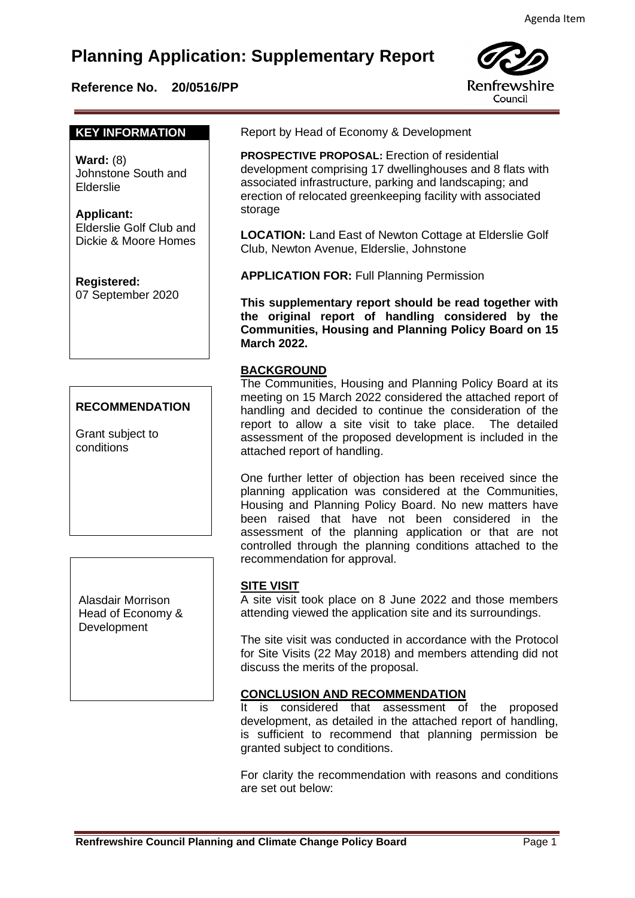# **Planning Application: Supplementary Report**

# **Reference No. 20/0516/PP**



#### **KEY INFORMATION**

**Ward:** (8) Johnstone South and Elderslie

#### **Applicant:** Elderslie Golf Club and Dickie & Moore Homes

**Registered:**  07 September 2020

# **RECOMMENDATION**

Grant subject to conditions

Alasdair Morrison Head of Economy & **Development** 

Report by Head of Economy & Development

 **PROSPECTIVE PROPOSAL:** Erection of residential development comprising 17 dwellinghouses and 8 flats with associated infrastructure, parking and landscaping; and erection of relocated greenkeeping facility with associated storage

**LOCATION:** Land East of Newton Cottage at Elderslie Golf Club, Newton Avenue, Elderslie, Johnstone

**APPLICATION FOR:** Full Planning Permission

**This supplementary report should be read together with the original report of handling considered by the Communities, Housing and Planning Policy Board on 15 March 2022.**

## **BACKGROUND**

The Communities, Housing and Planning Policy Board at its meeting on 15 March 2022 considered the attached report of handling and decided to continue the consideration of the report to allow a site visit to take place. The detailed assessment of the proposed development is included in the attached report of handling.

One further letter of objection has been received since the planning application was considered at the Communities, Housing and Planning Policy Board. No new matters have been raised that have not been considered in the assessment of the planning application or that are not controlled through the planning conditions attached to the recommendation for approval.

## **SITE VISIT**

A site visit took place on 8 June 2022 and those members attending viewed the application site and its surroundings.

The site visit was conducted in accordance with the Protocol for Site Visits (22 May 2018) and members attending did not discuss the merits of the proposal.

#### **CONCLUSION AND RECOMMENDATION**

It is considered that assessment of the proposed development, as detailed in the attached report of handling, is sufficient to recommend that planning permission be granted subject to conditions.

For clarity the recommendation with reasons and conditions are set out below: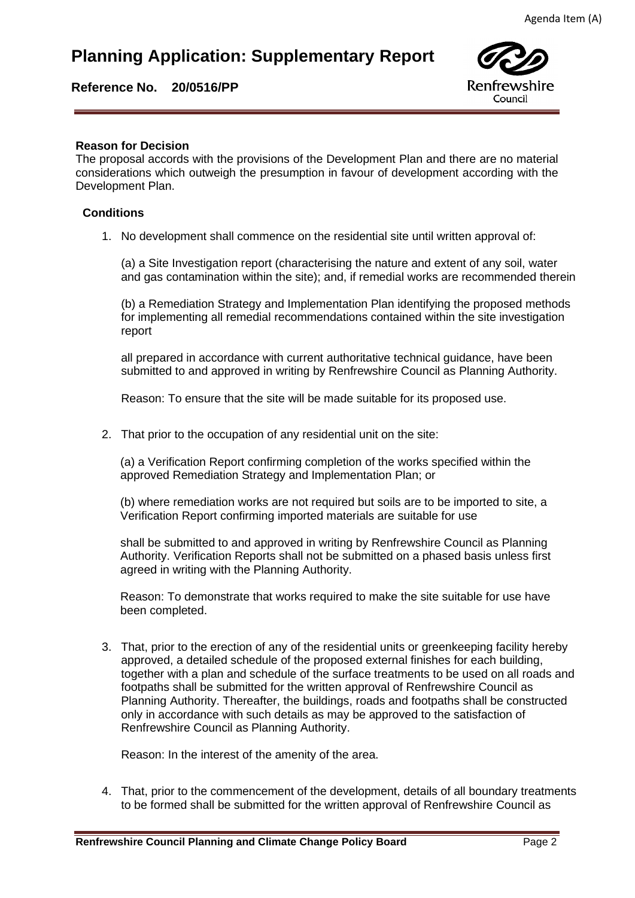# **Planning Application: Supplementary Report**

**Reference No. 20/0516/PP** 



### **Reason for Decision**

**Reason for Decision**<br>The proposal accords with the provisions of the Development Plan and there are no material considerations which outweigh the presumption in favour of development according with the Development Plan.

### **Conditions**

1. No development shall commence on the residential site until written approval of:

(a) a Site Investigation report (characterising the nature and extent of any soil, water and gas contamination within the site); and, if remedial works are recommended therein

(b) a Remediation Strategy and Implementation Plan identifying the proposed methods for implementing all remedial recommendations contained within the site investigation report

all prepared in accordance with current authoritative technical guidance, have been submitted to and approved in writing by Renfrewshire Council as Planning Authority.

Reason: To ensure that the site will be made suitable for its proposed use.

2. That prior to the occupation of any residential unit on the site:

(a) a Verification Report confirming completion of the works specified within the approved Remediation Strategy and Implementation Plan; or

(b) where remediation works are not required but soils are to be imported to site, a Verification Report confirming imported materials are suitable for use

shall be submitted to and approved in writing by Renfrewshire Council as Planning Authority. Verification Reports shall not be submitted on a phased basis unless first agreed in writing with the Planning Authority.

Reason: To demonstrate that works required to make the site suitable for use have been completed.

3. That, prior to the erection of any of the residential units or greenkeeping facility hereby approved, a detailed schedule of the proposed external finishes for each building, together with a plan and schedule of the surface treatments to be used on all roads and footpaths shall be submitted for the written approval of Renfrewshire Council as Planning Authority. Thereafter, the buildings, roads and footpaths shall be constructed only in accordance with such details as may be approved to the satisfaction of Renfrewshire Council as Planning Authority.

Reason: In the interest of the amenity of the area.

4. That, prior to the commencement of the development, details of all boundary treatments to be formed shall be submitted for the written approval of Renfrewshire Council as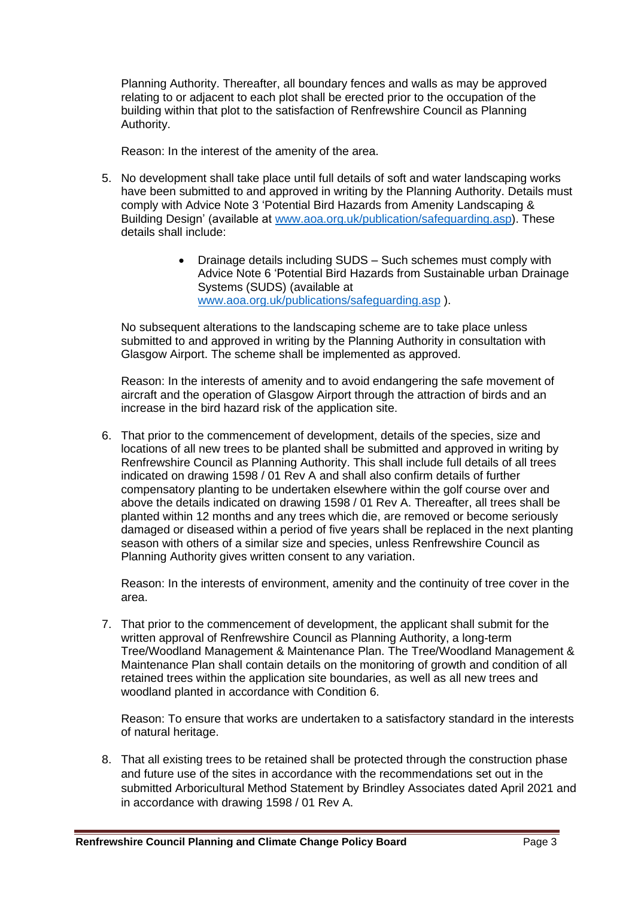Planning Authority. Thereafter, all boundary fences and walls as may be approved relating to or adjacent to each plot shall be erected prior to the occupation of the building within that plot to the satisfaction of Renfrewshire Council as Planning Authority.

Reason: In the interest of the amenity of the area.

- 5. No development shall take place until full details of soft and water landscaping works have been submitted to and approved in writing by the Planning Authority. Details must comply with Advice Note 3 'Potential Bird Hazards from Amenity Landscaping & Building Design' (available at [www.aoa.org.uk/publication/safeguarding.asp\)](http://www.aoa.org.uk/publication/safeguarding.asp). These details shall include:
	- Drainage details including SUDS Such schemes must comply with Advice Note 6 'Potential Bird Hazards from Sustainable urban Drainage Systems (SUDS) (available at [www.aoa.org.uk/publications/safeguarding.asp](http://www.aoa.org.uk/publications/safeguarding.asp) ).

No subsequent alterations to the landscaping scheme are to take place unless submitted to and approved in writing by the Planning Authority in consultation with Glasgow Airport. The scheme shall be implemented as approved.

Reason: In the interests of amenity and to avoid endangering the safe movement of aircraft and the operation of Glasgow Airport through the attraction of birds and an increase in the bird hazard risk of the application site.

6. That prior to the commencement of development, details of the species, size and locations of all new trees to be planted shall be submitted and approved in writing by Renfrewshire Council as Planning Authority. This shall include full details of all trees indicated on drawing 1598 / 01 Rev A and shall also confirm details of further compensatory planting to be undertaken elsewhere within the golf course over and above the details indicated on drawing 1598 / 01 Rev A. Thereafter, all trees shall be planted within 12 months and any trees which die, are removed or become seriously damaged or diseased within a period of five years shall be replaced in the next planting season with others of a similar size and species, unless Renfrewshire Council as Planning Authority gives written consent to any variation.

Reason: In the interests of environment, amenity and the continuity of tree cover in the area.

7. That prior to the commencement of development, the applicant shall submit for the written approval of Renfrewshire Council as Planning Authority, a long-term Tree/Woodland Management & Maintenance Plan. The Tree/Woodland Management & Maintenance Plan shall contain details on the monitoring of growth and condition of all retained trees within the application site boundaries, as well as all new trees and woodland planted in accordance with Condition 6.

Reason: To ensure that works are undertaken to a satisfactory standard in the interests of natural heritage.

8. That all existing trees to be retained shall be protected through the construction phase and future use of the sites in accordance with the recommendations set out in the submitted Arboricultural Method Statement by Brindley Associates dated April 2021 and in accordance with drawing 1598 / 01 Rev A.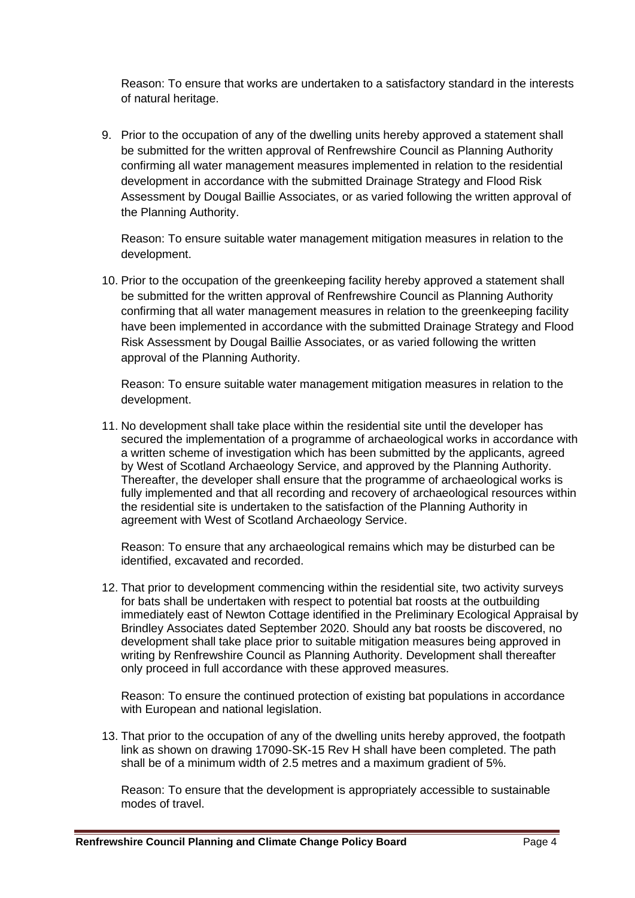Reason: To ensure that works are undertaken to a satisfactory standard in the interests of natural heritage.

9. Prior to the occupation of any of the dwelling units hereby approved a statement shall be submitted for the written approval of Renfrewshire Council as Planning Authority confirming all water management measures implemented in relation to the residential development in accordance with the submitted Drainage Strategy and Flood Risk Assessment by Dougal Baillie Associates, or as varied following the written approval of the Planning Authority.

Reason: To ensure suitable water management mitigation measures in relation to the development.

10. Prior to the occupation of the greenkeeping facility hereby approved a statement shall be submitted for the written approval of Renfrewshire Council as Planning Authority confirming that all water management measures in relation to the greenkeeping facility have been implemented in accordance with the submitted Drainage Strategy and Flood Risk Assessment by Dougal Baillie Associates, or as varied following the written approval of the Planning Authority.

Reason: To ensure suitable water management mitigation measures in relation to the development.

11. No development shall take place within the residential site until the developer has secured the implementation of a programme of archaeological works in accordance with a written scheme of investigation which has been submitted by the applicants, agreed by West of Scotland Archaeology Service, and approved by the Planning Authority. Thereafter, the developer shall ensure that the programme of archaeological works is fully implemented and that all recording and recovery of archaeological resources within the residential site is undertaken to the satisfaction of the Planning Authority in agreement with West of Scotland Archaeology Service.

Reason: To ensure that any archaeological remains which may be disturbed can be identified, excavated and recorded.

12. That prior to development commencing within the residential site, two activity surveys for bats shall be undertaken with respect to potential bat roosts at the outbuilding immediately east of Newton Cottage identified in the Preliminary Ecological Appraisal by Brindley Associates dated September 2020. Should any bat roosts be discovered, no development shall take place prior to suitable mitigation measures being approved in writing by Renfrewshire Council as Planning Authority. Development shall thereafter only proceed in full accordance with these approved measures.

Reason: To ensure the continued protection of existing bat populations in accordance with European and national legislation.

13. That prior to the occupation of any of the dwelling units hereby approved, the footpath link as shown on drawing 17090-SK-15 Rev H shall have been completed. The path shall be of a minimum width of 2.5 metres and a maximum gradient of 5%.

Reason: To ensure that the development is appropriately accessible to sustainable modes of travel.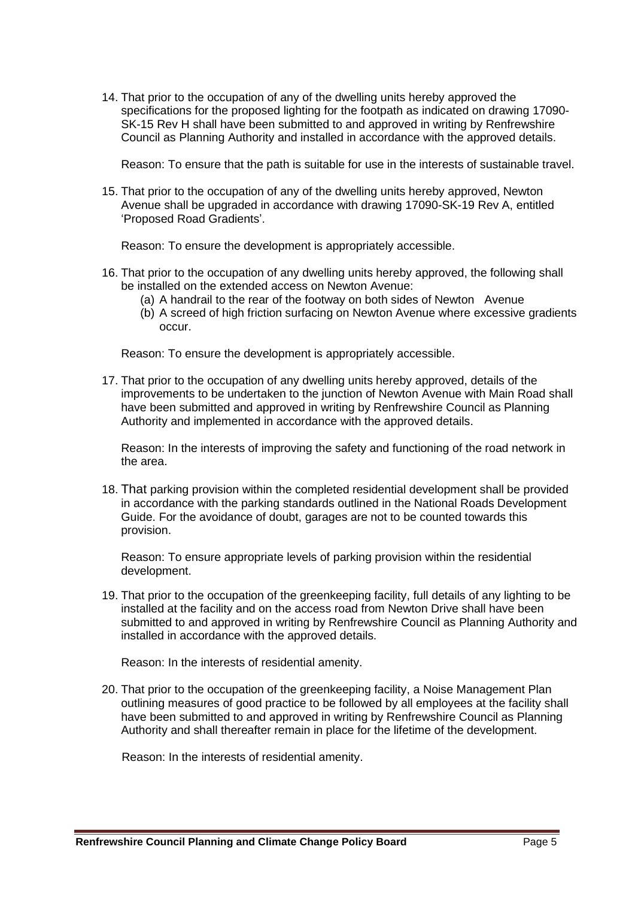14. That prior to the occupation of any of the dwelling units hereby approved the specifications for the proposed lighting for the footpath as indicated on drawing 17090- SK-15 Rev H shall have been submitted to and approved in writing by Renfrewshire Council as Planning Authority and installed in accordance with the approved details.

Reason: To ensure that the path is suitable for use in the interests of sustainable travel.

15. That prior to the occupation of any of the dwelling units hereby approved, Newton Avenue shall be upgraded in accordance with drawing 17090-SK-19 Rev A, entitled 'Proposed Road Gradients'.

Reason: To ensure the development is appropriately accessible.

- 16. That prior to the occupation of any dwelling units hereby approved, the following shall be installed on the extended access on Newton Avenue:
	- (a) A handrail to the rear of the footway on both sides of Newton Avenue
	- (b) A screed of high friction surfacing on Newton Avenue where excessive gradients occur.

Reason: To ensure the development is appropriately accessible.

17. That prior to the occupation of any dwelling units hereby approved, details of the improvements to be undertaken to the junction of Newton Avenue with Main Road shall have been submitted and approved in writing by Renfrewshire Council as Planning Authority and implemented in accordance with the approved details.

Reason: In the interests of improving the safety and functioning of the road network in the area.

18. That parking provision within the completed residential development shall be provided in accordance with the parking standards outlined in the National Roads Development Guide. For the avoidance of doubt, garages are not to be counted towards this provision.

Reason: To ensure appropriate levels of parking provision within the residential development.

19. That prior to the occupation of the greenkeeping facility, full details of any lighting to be installed at the facility and on the access road from Newton Drive shall have been submitted to and approved in writing by Renfrewshire Council as Planning Authority and installed in accordance with the approved details.

Reason: In the interests of residential amenity.

20. That prior to the occupation of the greenkeeping facility, a Noise Management Plan outlining measures of good practice to be followed by all employees at the facility shall have been submitted to and approved in writing by Renfrewshire Council as Planning Authority and shall thereafter remain in place for the lifetime of the development.

Reason: In the interests of residential amenity.